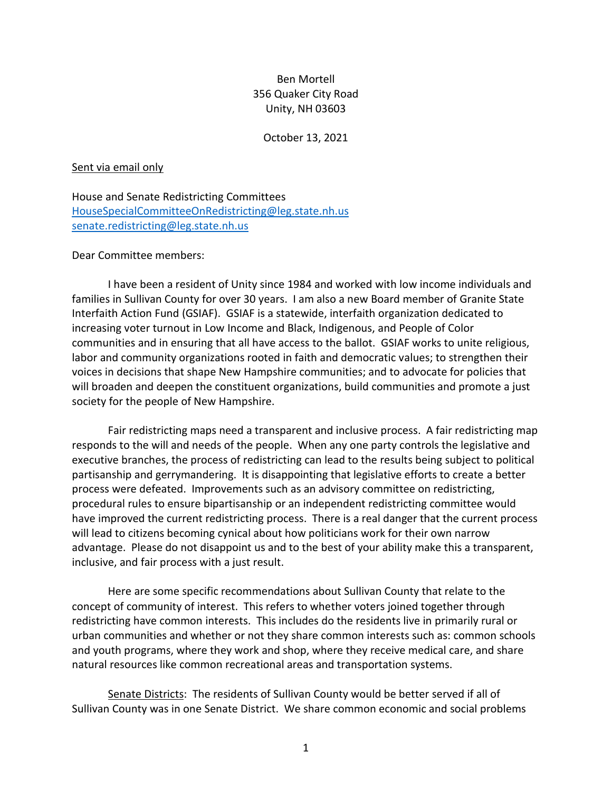## Ben Mortell 356 Quaker City Road Unity, NH 03603

October 13, 2021

## Sent via email only

House and Senate Redistricting Committees [HouseSpecialCommitteeOnRedistricting@leg.state.nh.us](mailto:HouseSpecialCommitteeOnRedistricting@leg.state.nh.us) [senate.redistricting@leg.state.nh.us](mailto:senate.redistricting@leg.state.nh.us)

## Dear Committee members:

I have been a resident of Unity since 1984 and worked with low income individuals and families in Sullivan County for over 30 years. I am also a new Board member of Granite State Interfaith Action Fund (GSIAF). GSIAF is a statewide, interfaith organization dedicated to increasing voter turnout in Low Income and Black, Indigenous, and People of Color communities and in ensuring that all have access to the ballot. GSIAF works to unite religious, labor and community organizations rooted in faith and democratic values; to strengthen their voices in decisions that shape New Hampshire communities; and to advocate for policies that will broaden and deepen the constituent organizations, build communities and promote a just society for the people of New Hampshire.

Fair redistricting maps need a transparent and inclusive process. A fair redistricting map responds to the will and needs of the people. When any one party controls the legislative and executive branches, the process of redistricting can lead to the results being subject to political partisanship and gerrymandering. It is disappointing that legislative efforts to create a better process were defeated. Improvements such as an advisory committee on redistricting, procedural rules to ensure bipartisanship or an independent redistricting committee would have improved the current redistricting process. There is a real danger that the current process will lead to citizens becoming cynical about how politicians work for their own narrow advantage. Please do not disappoint us and to the best of your ability make this a transparent, inclusive, and fair process with a just result.

Here are some specific recommendations about Sullivan County that relate to the concept of community of interest. This refers to whether voters joined together through redistricting have common interests. This includes do the residents live in primarily rural or urban communities and whether or not they share common interests such as: common schools and youth programs, where they work and shop, where they receive medical care, and share natural resources like common recreational areas and transportation systems.

Senate Districts: The residents of Sullivan County would be better served if all of Sullivan County was in one Senate District. We share common economic and social problems